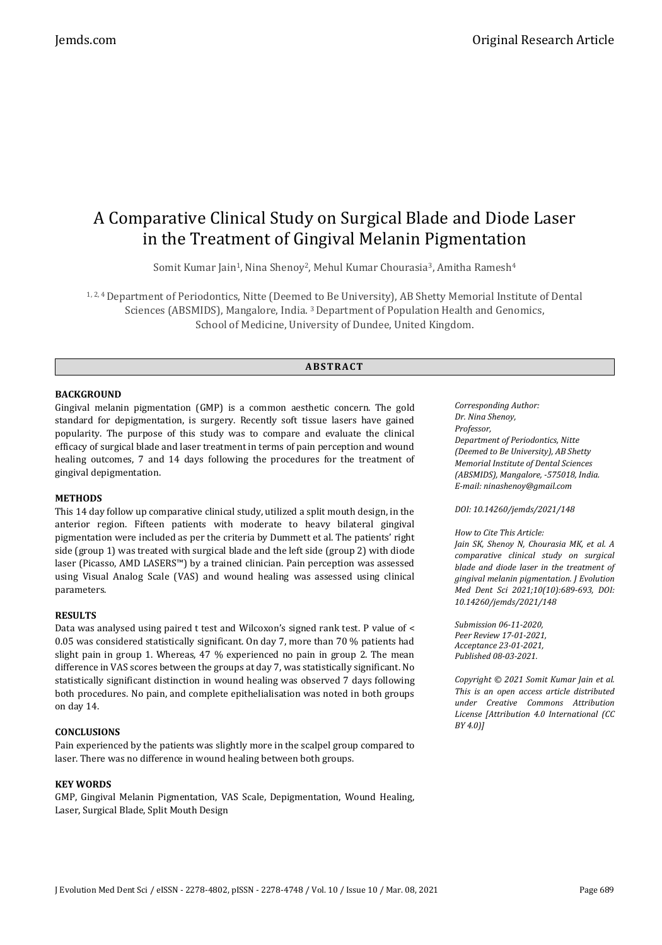# A Comparative Clinical Study on Surgical Blade and Diode Laser in the Treatment of Gingival Melanin Pigmentation

Somit Kumar Jain<sup>1</sup>, Nina Shenoy<sup>2</sup>, Mehul Kumar Chourasia<sup>3</sup>, Amitha Ramesh<sup>4</sup>

1, 2, 4 Department of Periodontics, Nitte (Deemed to Be University), AB Shetty Memorial Institute of Dental Sciences (ABSMIDS), Mangalore, India. <sup>3</sup>Department of Population Health and Genomics, School of Medicine, University of Dundee, United Kingdom.

# **ABS TR ACT**

# **BACKGROUND**

Gingival melanin pigmentation (GMP) is a common aesthetic concern. The gold standard for depigmentation, is surgery. Recently soft tissue lasers have gained popularity. The purpose of this study was to compare and evaluate the clinical efficacy of surgical blade and laser treatment in terms of pain perception and wound healing outcomes, 7 and 14 days following the procedures for the treatment of gingival depigmentation.

### **METHODS**

This 14 day follow up comparative clinical study, utilized a split mouth design, in the anterior region. Fifteen patients with moderate to heavy bilateral gingival pigmentation were included as per the criteria by Dummett et al. The patients' right side (group 1) was treated with surgical blade and the left side (group 2) with diode laser (Picasso, AMD LASERS™) by a trained clinician. Pain perception was assessed using Visual Analog Scale (VAS) and wound healing was assessed using clinical parameters.

### **RESULTS**

Data was analysed using paired t test and Wilcoxon's signed rank test. P value of < 0.05 was considered statistically significant. On day 7, more than 70 % patients had slight pain in group 1. Whereas, 47 % experienced no pain in group 2. The mean difference in VAS scores between the groups at day 7, was statistically significant. No statistically significant distinction in wound healing was observed 7 days following both procedures. No pain, and complete epithelialisation was noted in both groups on day 14.

### **CONCLUSIONS**

Pain experienced by the patients was slightly more in the scalpel group compared to laser. There was no difference in wound healing between both groups.

### **KEY WORDS**

GMP, Gingival Melanin Pigmentation, VAS Scale, Depigmentation, Wound Healing, Laser, Surgical Blade, Split Mouth Design

*Corresponding Author: Dr. Nina Shenoy, Professor, Department of Periodontics, Nitte (Deemed to Be University), AB Shetty Memorial Institute of Dental Sciences (ABSMIDS), Mangalore, -575018, India. E-mail: ninashenoy@gmail.com*

*DOI: 10.14260/jemds/2021/148*

#### *How to Cite This Article:*

*Jain SK, Shenoy N, Chourasia MK, et al. A comparative clinical study on surgical blade and diode laser in the treatment of gingival melanin pigmentation. J Evolution Med Dent Sci 2021;10(10):689-693, DOI: 10.14260/jemds/2021/148*

*Submission 06-11-2020, Peer Review 17-01-2021, Acceptance 23-01-2021, Published 08-03-2021.*

*Copyright © 2021 Somit Kumar Jain et al. This is an open access article distributed under Creative Commons Attribution License [Attribution 4.0 International (CC BY 4.0)]*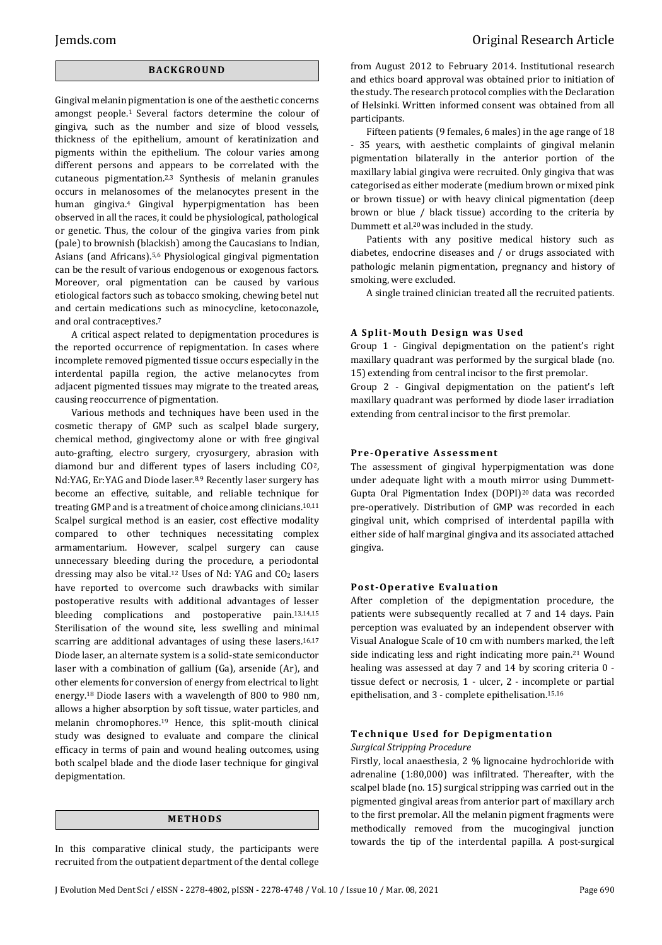# **BACK GR O U ND**

Gingival melanin pigmentation is one of the aesthetic concerns amongst people.<sup>1</sup> Several factors determine the colour of gingiva, such as the number and size of blood vessels, thickness of the epithelium, amount of keratinization and pigments within the epithelium. The colour varies among different persons and appears to be correlated with the cutaneous pigmentation.2,3 Synthesis of melanin granules occurs in melanosomes of the melanocytes present in the human gingiva.4 Gingival hyperpigmentation has been observed in all the races, it could be physiological, pathological or genetic. Thus, the colour of the gingiva varies from pink (pale) to brownish (blackish) among the Caucasians to Indian, Asians (and Africans).5,6 Physiological gingival pigmentation can be the result of various endogenous or exogenous factors. Moreover, oral pigmentation can be caused by various etiological factors such as tobacco smoking, chewing betel nut and certain medications such as minocycline, ketoconazole, and oral contraceptives.<sup>7</sup>

A critical aspect related to depigmentation procedures is the reported occurrence of repigmentation. In cases where incomplete removed pigmented tissue occurs especially in the interdental papilla region, the active melanocytes from adjacent pigmented tissues may migrate to the treated areas, causing reoccurrence of pigmentation.

Various methods and techniques have been used in the cosmetic therapy of GMP such as scalpel blade surgery, chemical method, gingivectomy alone or with free gingival auto-grafting, electro surgery, cryosurgery, abrasion with diamond bur and different types of lasers including CO2, Nd:YAG, Er:YAG and Diode laser.8,9 Recently laser surgery has become an effective, suitable, and reliable technique for treating GMP and is a treatment of choice among clinicians.10,11 Scalpel surgical method is an easier, cost effective modality compared to other techniques necessitating complex armamentarium. However, scalpel surgery can cause unnecessary bleeding during the procedure, a periodontal dressing may also be vital.<sup>12</sup> Uses of Nd: YAG and CO<sup>2</sup> lasers have reported to overcome such drawbacks with similar postoperative results with additional advantages of lesser bleeding complications and postoperative pain.13,14,15 Sterilisation of the wound site, less swelling and minimal scarring are additional advantages of using these lasers.<sup>16,17</sup> Diode laser, an alternate system is a solid-state semiconductor laser with a combination of gallium (Ga), arsenide (Ar), and other elements for conversion of energy from electrical to light energy.18 Diode lasers with a wavelength of 800 to 980 nm, allows a higher absorption by soft tissue, water particles, and melanin chromophores.<sup>19</sup> Hence, this split-mouth clinical study was designed to evaluate and compare the clinical efficacy in terms of pain and wound healing outcomes, using both scalpel blade and the diode laser technique for gingival depigmentation.

# **ME TH OD S**

In this comparative clinical study, the participants were recruited from the outpatient department of the dental college from August 2012 to February 2014. Institutional research and ethics board approval was obtained prior to initiation of the study. The research protocol complies with the Declaration of Helsinki. Written informed consent was obtained from all participants.

Fifteen patients (9 females, 6 males) in the age range of 18 - 35 years, with aesthetic complaints of gingival melanin pigmentation bilaterally in the anterior portion of the maxillary labial gingiva were recruited. Only gingiva that was categorised as either moderate (medium brown or mixed pink or brown tissue) or with heavy clinical pigmentation (deep brown or blue / black tissue) according to the criteria by Dummett et al.<sup>20</sup> was included in the study.

Patients with any positive medical history such as diabetes, endocrine diseases and / or drugs associated with pathologic melanin pigmentation, pregnancy and history of smoking, were excluded.

A single trained clinician treated all the recruited patients.

#### **A Split-Mouth Design was Used**

Group 1 - Gingival depigmentation on the patient's right maxillary quadrant was performed by the surgical blade (no. 15) extending from central incisor to the first premolar.

Group 2 - Gingival depigmentation on the patient's left maxillary quadrant was performed by diode laser irradiation extending from central incisor to the first premolar.

#### **Pre-Operative Assessment**

The assessment of gingival hyperpigmentation was done under adequate light with a mouth mirror using Dummett-Gupta Oral Pigmentation Index (DOPI)20 data was recorded pre-operatively. Distribution of GMP was recorded in each gingival unit, which comprised of interdental papilla with either side of half marginal gingiva and its associated attached gingiva.

#### **Post-Operative Evaluation**

After completion of the depigmentation procedure, the patients were subsequently recalled at 7 and 14 days. Pain perception was evaluated by an independent observer with Visual Analogue Scale of 10 cm with numbers marked, the left side indicating less and right indicating more pain. <sup>21</sup> Wound healing was assessed at day 7 and 14 by scoring criteria 0 tissue defect or necrosis, 1 - ulcer, 2 - incomplete or partial epithelisation, and 3 - complete epithelisation.15,16

# **Technique Used for Depigmentation**

#### *Surgical Stripping Procedure*

Firstly, local anaesthesia, 2 % lignocaine hydrochloride with adrenaline (1:80,000) was infiltrated. Thereafter, with the scalpel blade (no. 15) surgical stripping was carried out in the pigmented gingival areas from anterior part of maxillary arch to the first premolar. All the melanin pigment fragments were methodically removed from the mucogingival junction towards the tip of the interdental papilla. A post-surgical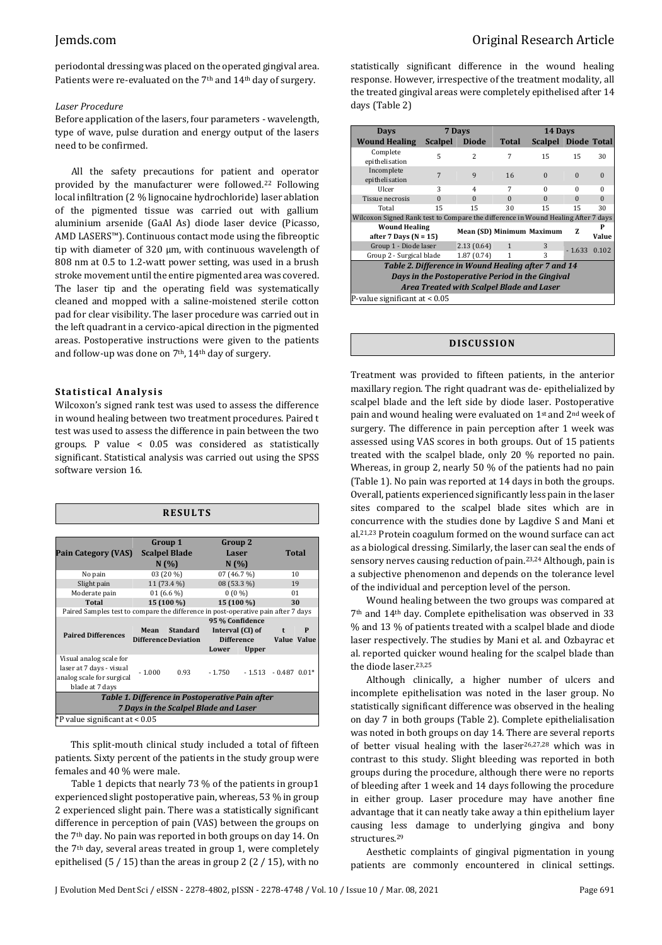periodontal dressing was placed on the operated gingival area. Patients were re-evaluated on the 7th and 14th day of surgery.

#### *Laser Procedure*

Before application of the lasers, four parameters - wavelength, type of wave, pulse duration and energy output of the lasers need to be confirmed.

All the safety precautions for patient and operator provided by the manufacturer were followed.<sup>22</sup> Following local infiltration (2 % lignocaine hydrochloride) laser ablation of the pigmented tissue was carried out with gallium aluminium arsenide (GaAl As) diode laser device (Picasso, AMD LASERS™). Continuous contact mode using the fibreoptic tip with diameter of 320 µm, with continuous wavelength of 808 nm at 0.5 to 1.2-watt power setting, was used in a brush stroke movement until the entire pigmented area was covered. The laser tip and the operating field was systematically cleaned and mopped with a saline-moistened sterile cotton pad for clear visibility. The laser procedure was carried out in the left quadrant in a cervico-apical direction in the pigmented areas. Postoperative instructions were given to the patients and follow-up was done on 7<sup>th</sup>, 14<sup>th</sup> day of surgery.

#### **S ta ti s ti cal An aly si s**

Wilcoxon's signed rank test was used to assess the difference in wound healing between two treatment procedures. Paired t test was used to assess the difference in pain between the two groups. P value < 0.05 was considered as statistically significant. Statistical analysis was carried out using the SPSS software version 16.

| <b>RESULTS</b>                                                                    |                                                        |            |                   |                 |                      |   |  |  |  |  |
|-----------------------------------------------------------------------------------|--------------------------------------------------------|------------|-------------------|-----------------|----------------------|---|--|--|--|--|
|                                                                                   |                                                        |            |                   |                 |                      |   |  |  |  |  |
|                                                                                   | Group 1<br><b>Scalpel Blade</b>                        |            | Group 2<br>Laser  |                 |                      |   |  |  |  |  |
| Pain Category (VAS)                                                               |                                                        |            |                   |                 | Total                |   |  |  |  |  |
|                                                                                   | N(%)                                                   |            | N(%)              |                 |                      |   |  |  |  |  |
| No pain                                                                           | 03 (20 %)                                              |            | 07 (46.7 %)       |                 | 10                   |   |  |  |  |  |
| Slight pain                                                                       | 11 (73.4 %)                                            |            | 08 (53.3 %)       |                 | 19                   |   |  |  |  |  |
| Moderate pain                                                                     | 01 $(6.6\%)$                                           |            | $0(0\%)$          |                 | 01                   |   |  |  |  |  |
| Total                                                                             |                                                        | 15 (100 %) | 15 (100 %)        |                 | 30                   |   |  |  |  |  |
| Paired Samples test to compare the difference in post-operative pain after 7 days |                                                        |            |                   |                 |                      |   |  |  |  |  |
|                                                                                   |                                                        |            |                   | 95 % Confidence |                      |   |  |  |  |  |
| <b>Paired Differences</b>                                                         | <b>Standard</b><br>Mean<br><b>Difference Deviation</b> |            | Interval (CI) of  |                 | $\ddot{\phantom{1}}$ | P |  |  |  |  |
|                                                                                   |                                                        |            | <b>Difference</b> |                 | Value Value          |   |  |  |  |  |
|                                                                                   |                                                        |            | Lower             | <b>Upper</b>    |                      |   |  |  |  |  |
| Visual analog scale for                                                           |                                                        |            |                   |                 |                      |   |  |  |  |  |
| laser at 7 days - visual                                                          | $-1.000$                                               | 0.93       | $-1.750$          | $-1.513$        | $-0.487$ 0.01*       |   |  |  |  |  |
| analog scale for surgical                                                         |                                                        |            |                   |                 |                      |   |  |  |  |  |
| blade at 7 days                                                                   |                                                        |            |                   |                 |                      |   |  |  |  |  |
| Table 1. Difference in Postoperative Pain after                                   |                                                        |            |                   |                 |                      |   |  |  |  |  |
| 7 Days in the Scalpel Blade and Laser                                             |                                                        |            |                   |                 |                      |   |  |  |  |  |
| *P value significant at < 0.05                                                    |                                                        |            |                   |                 |                      |   |  |  |  |  |

This split-mouth clinical study included a total of fifteen patients. Sixty percent of the patients in the study group were females and 40 % were male.

Table 1 depicts that nearly 73 % of the patients in group1 experienced slight postoperative pain, whereas, 53 % in group 2 experienced slight pain. There was a statistically significant difference in perception of pain (VAS) between the groups on the 7th day. No pain was reported in both groups on day 14. On the 7th day, several areas treated in group 1, were completely epithelised  $(5 / 15)$  than the areas in group 2  $(2 / 15)$ , with no statistically significant difference in the wound healing response. However, irrespective of the treatment modality, all the treated gingival areas were completely epithelised after 14 days (Table 2)

| <b>Days</b>                                                                       |                | 7 Days                    |              | 14 Days                    |          |          |  |  |  |  |
|-----------------------------------------------------------------------------------|----------------|---------------------------|--------------|----------------------------|----------|----------|--|--|--|--|
| <b>Wound Healing</b>                                                              | <b>Scalpel</b> | <b>Diode</b>              | Total        | <b>Scalpel Diode Total</b> |          |          |  |  |  |  |
| Complete<br>epithelisation                                                        | 5              | $\mathfrak{D}$            | 7            | 15                         | 15       | 30       |  |  |  |  |
| Incomplete<br>epithelisation                                                      | $\overline{7}$ | $\mathbf{q}$              | 16           | $\Omega$                   | $\Omega$ | $\Omega$ |  |  |  |  |
| Ulcer                                                                             | 3              | $\overline{4}$            | 7            | $\Omega$                   | $\Omega$ | $\Omega$ |  |  |  |  |
| Tissue necrosis                                                                   | $\Omega$       | $\Omega$                  | $\Omega$     | $\Omega$                   | $\Omega$ | $\Omega$ |  |  |  |  |
| Total                                                                             | 15             | 15                        | 30           | 15                         | 15       | 30       |  |  |  |  |
| Wilcoxon Signed Rank test to Compare the difference in Wound Healing After 7 days |                |                           |              |                            |          |          |  |  |  |  |
| <b>Wound Healing</b><br>after 7 Days ( $N = 15$ )                                 |                | Mean (SD) Minimum Maximum |              |                            | 7.       | P        |  |  |  |  |
|                                                                                   |                |                           |              |                            |          | Value    |  |  |  |  |
| Group 1 - Diode laser                                                             |                | 2.13(0.64)                | $\mathbf{1}$ | 3                          | $-1.633$ | 0.102    |  |  |  |  |
| Group 2 - Surgical blade                                                          |                | 1.87(0.74)                | $\mathbf{1}$ | 3                          |          |          |  |  |  |  |
| Table 2. Difference in Wound Healing after 7 and 14                               |                |                           |              |                            |          |          |  |  |  |  |
| Days in the Postoperative Period in the Gingival                                  |                |                           |              |                            |          |          |  |  |  |  |
| Area Treated with Scalpel Blade and Laser                                         |                |                           |              |                            |          |          |  |  |  |  |
| P-value significant at $< 0.05$                                                   |                |                           |              |                            |          |          |  |  |  |  |

#### **DI SCU S SI ON**

Treatment was provided to fifteen patients, in the anterior maxillary region. The right quadrant was de- epithelialized by scalpel blade and the left side by diode laser. Postoperative pain and wound healing were evaluated on 1st and 2nd week of surgery. The difference in pain perception after 1 week was assessed using VAS scores in both groups. Out of 15 patients treated with the scalpel blade, only 20 % reported no pain. Whereas, in group 2, nearly 50 % of the patients had no pain (Table 1). No pain was reported at 14 days in both the groups. Overall, patients experienced significantly less pain in the laser sites compared to the scalpel blade sites which are in concurrence with the studies done by Lagdive S and Mani et al.21,23 Protein coagulum formed on the wound surface can act as a biological dressing. Similarly, the laser can seal the ends of sensory nerves causing reduction of pain.23,24 Although, pain is a subjective phenomenon and depends on the tolerance level of the individual and perception level of the person.

Wound healing between the two groups was compared at 7th and 14th day. Complete epithelisation was observed in 33 % and 13 % of patients treated with a scalpel blade and diode laser respectively. The studies by Mani et al. and Ozbayrac et al. reported quicker wound healing for the scalpel blade than the diode laser.23,25

Although clinically, a higher number of ulcers and incomplete epithelisation was noted in the laser group. No statistically significant difference was observed in the healing on day 7 in both groups (Table 2). Complete epithelialisation was noted in both groups on day 14. There are several reports of better visual healing with the laser26,27,28 which was in contrast to this study. Slight bleeding was reported in both groups during the procedure, although there were no reports of bleeding after 1 week and 14 days following the procedure in either group. Laser procedure may have another fine advantage that it can neatly take away a thin epithelium layer causing less damage to underlying gingiva and bony structures.<sup>29</sup>

Aesthetic complaints of gingival pigmentation in young patients are commonly encountered in clinical settings.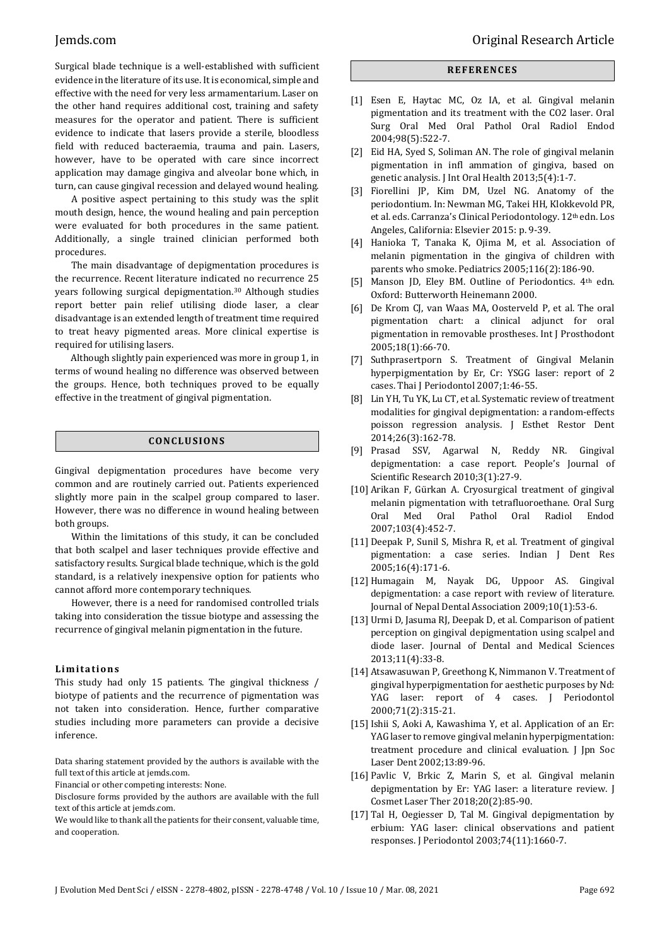Surgical blade technique is a well-established with sufficient evidence in the literature of its use. It is economical, simple and effective with the need for very less armamentarium. Laser on the other hand requires additional cost, training and safety measures for the operator and patient. There is sufficient evidence to indicate that lasers provide a sterile, bloodless field with reduced bacteraemia, trauma and pain. Lasers, however, have to be operated with care since incorrect application may damage gingiva and alveolar bone which, in turn, can cause gingival recession and delayed wound healing.

A positive aspect pertaining to this study was the split mouth design, hence, the wound healing and pain perception were evaluated for both procedures in the same patient. Additionally, a single trained clinician performed both procedures.

The main disadvantage of depigmentation procedures is the recurrence. Recent literature indicated no recurrence 25 years following surgical depigmentation.<sup>30</sup> Although studies report better pain relief utilising diode laser, a clear disadvantage is an extended length of treatment time required to treat heavy pigmented areas. More clinical expertise is required for utilising lasers.

Although slightly pain experienced was more in group 1, in terms of wound healing no difference was observed between the groups. Hence, both techniques proved to be equally effective in the treatment of gingival pigmentation.

# **CONC LU S ION S**

Gingival depigmentation procedures have become very common and are routinely carried out. Patients experienced slightly more pain in the scalpel group compared to laser. However, there was no difference in wound healing between both groups.

Within the limitations of this study, it can be concluded that both scalpel and laser techniques provide effective and satisfactory results. Surgical blade technique, which is the gold standard, is a relatively inexpensive option for patients who cannot afford more contemporary techniques.

However, there is a need for randomised controlled trials taking into consideration the tissue biotype and assessing the recurrence of gingival melanin pigmentation in the future.

### **Li mi t a ti o n s**

This study had only 15 patients. The gingival thickness / biotype of patients and the recurrence of pigmentation was not taken into consideration. Hence, further comparative studies including more parameters can provide a decisive inference.

Data sharing statement provided by the authors is available with the full text of this article at jemds.com.

Financial or other competing interests: None.

Disclosure forms provided by the authors are available with the full text of this article at jemds.com.

We would like to thank all the patients for their consent, valuable time, and cooperation.

#### **R EF ER ENC E S**

- [1] Esen E, Haytac MC, Oz IA, et al. Gingival melanin pigmentation and its treatment with the CO2 laser. Oral Surg Oral Med Oral Pathol Oral Radiol Endod 2004;98(5):522-7.
- [2] Eid HA, Syed S, Soliman AN. The role of gingival melanin pigmentation in infl ammation of gingiva, based on genetic analysis. J Int Oral Health 2013;5(4):1-7.
- [3] Fiorellini JP, Kim DM, Uzel NG. Anatomy of the periodontium. In: Newman MG, Takei HH, Klokkevold PR, et al. eds. Carranza's Clinical Periodontology. 12<sup>th</sup> edn. Los Angeles, California: Elsevier 2015: p. 9-39.
- [4] Hanioka T, Tanaka K, Ojima M, et al. Association of melanin pigmentation in the gingiva of children with parents who smoke. Pediatrics 2005;116(2):186-90.
- [5] Manson JD, Eley BM. Outline of Periodontics. 4th edn. Oxford: Butterworth Heinemann 2000.
- [6] De Krom CJ, van Waas MA, Oosterveld P, et al. The oral pigmentation chart: a clinical adjunct for oral pigmentation in removable prostheses. Int J Prosthodont 2005;18(1):66-70.
- [7] Suthprasertporn S. Treatment of Gingival Melanin hyperpigmentation by Er, Cr: YSGG laser: report of 2 cases. Thai J Periodontol 2007;1:46-55.
- [8] Lin YH, Tu YK, Lu CT, et al. Systematic review of treatment modalities for gingival depigmentation: a random-effects poisson regression analysis. J Esthet Restor Dent 2014;26(3):162-78.
- [9] Prasad SSV, Agarwal N, Reddy NR. Gingival depigmentation: a case report. People's Journal of Scientific Research 2010;3(1):27-9.
- [10] Arikan F, Gürkan A. Cryosurgical treatment of gingival melanin pigmentation with tetrafluoroethane. Oral Surg Oral Med Oral Pathol Oral Radiol Endod 2007;103(4):452-7.
- [11] Deepak P, Sunil S, Mishra R, et al. Treatment of gingival pigmentation: a case series. Indian J Dent Res 2005;16(4):171-6.
- [12] Humagain M, Nayak DG, Uppoor AS. Gingival depigmentation: a case report with review of literature. Journal of Nepal Dental Association 2009;10(1):53-6.
- [13] Urmi D, Jasuma RJ, Deepak D, et al. Comparison of patient perception on gingival depigmentation using scalpel and diode laser. Journal of Dental and Medical Sciences 2013;11(4):33-8.
- [14] Atsawasuwan P, Greethong K, Nimmanon V. Treatment of gingival hyperpigmentation for aesthetic purposes by Nd: YAG laser: report of 4 cases. J Periodontol 2000;71(2):315-21.
- [15] Ishii S, Aoki A, Kawashima Y, et al. Application of an Er: YAG laser to remove gingival melanin hyperpigmentation: treatment procedure and clinical evaluation. J Jpn Soc Laser Dent 2002;13:89-96.
- [16] Pavlic V, Brkic Z, Marin S, et al. Gingival melanin depigmentation by Er: YAG laser: a literature review. J Cosmet Laser Ther 2018;20(2):85-90.
- [17] Tal H, Oegiesser D, Tal M. Gingival depigmentation by erbium: YAG laser: clinical observations and patient responses. J Periodontol 2003;74(11):1660-7.